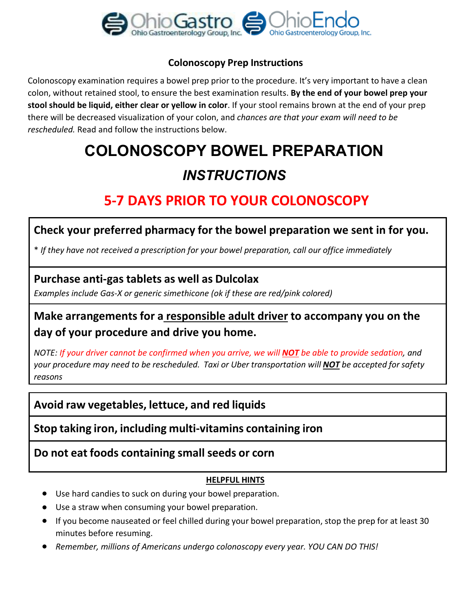

#### **Colonoscopy Prep Instructions**

Colonoscopy examination requires a bowel prep prior to the procedure. It's very important to have a clean colon, without retained stool, to ensure the best examination results. **By the end of your bowel prep your stool should be liquid, either clear or yellow in color**. If your stool remains brown at the end of your prep there will be decreased visualization of your colon, and *chances are that your exam will need to be rescheduled.* Read and follow the instructions below.

# **COLONOSCOPY BOWEL PREPARATION** *INSTRUCTIONS*

# **5-7 DAYS PRIOR TO YOUR COLONOSCOPY**

### **Check your preferred pharmacy for the bowel preparation we sent in for you.**

\* *If they have not received a prescription for your bowel preparation, call our office immediately*

### **Purchase anti-gas tablets as well as Dulcolax**

*Examples include Gas-X or generic simethicone (ok if these are red/pink colored)*

# **Make arrangements for a responsible adult driver to accompany you on the day of your procedure and drive you home.**

*NOTE: If your driver cannot be confirmed when you arrive, we will NOT be able to provide sedation, and your procedure may need to be rescheduled. Taxi or Uber transportation will NOT be accepted for safety reasons*

## **Avoid raw vegetables, lettuce, and red liquids**

**Stop taking iron, including multi-vitamins containing iron**

### **Do not eat foods containing small seeds or corn**

#### **HELPFUL HINTS**

- Use hard candies to suck on during your bowel preparation.
- Use a straw when consuming your bowel preparation.
- If you become nauseated or feel chilled during your bowel preparation, stop the prep for at least 30 minutes before resuming.
- *Remember, millions of Americans undergo colonoscopy every year. YOU CAN DO THIS!*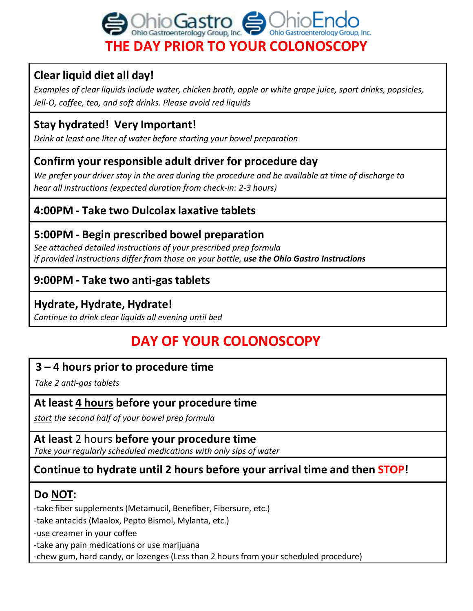

# **Clear liquid diet all day!**

*Examples of clear liquids include water, chicken broth, apple or white grape juice, sport drinks, popsicles, Jell-O, coffee, tea, and soft drinks. Please avoid red liquids*

# **Stay hydrated! Very Important!**

*Drink at least one liter of water before starting your bowel preparation*

# **Confirm your responsible adult driver for procedure day**

We prefer your driver stay in the area during the procedure and be available at time of discharge to *hear all instructions (expected duration from check-in: 2-3 hours)*

# **4:00PM - Take two Dulcolax laxative tablets**

# **5:00PM - Begin prescribed bowel preparation**

*See attached detailed instructions of your prescribed prep formula if provided instructions differ from those on your bottle, use the Ohio Gastro Instructions*

## **9:00PM - Take two anti-gas tablets**

### **Hydrate, Hydrate, Hydrate!**

*Continue to drink clear liquids all evening until bed*

# **DAY OF YOUR COLONOSCOPY**

## **3 – 4 hours prior to procedure time**

*Take 2 anti-gas tablets*

### **At least 4 hours before your procedure time**

*start the second half of your bowel prep formula*

**At least** 2 hours **before your procedure time** *Take your regularly scheduled medications with only sips of water*

# **Continue to hydrate until 2 hours before your arrival time and then STOP!**

## **Do NOT:**

-take fiber supplements (Metamucil, Benefiber, Fibersure, etc.)

-take antacids (Maalox, Pepto Bismol, Mylanta, etc.)

-use creamer in your coffee

-take any pain medications or use marijuana

-chew gum, hard candy, or lozenges (Less than 2 hours from your scheduled procedure)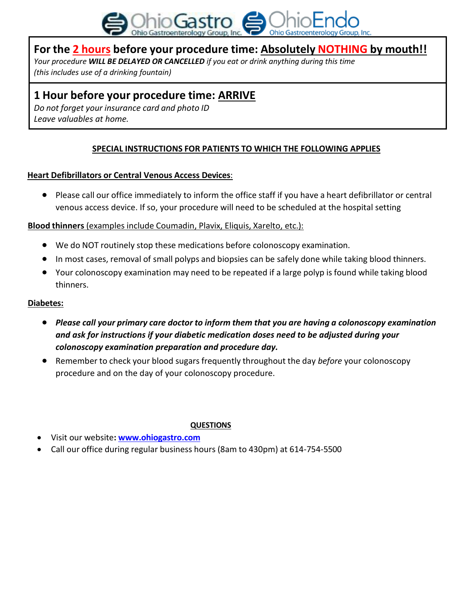

### **For the 2 hours before your procedure time: Absolutely NOTHING by mouth!!**

*Your procedure WILL BE DELAYED OR CANCELLED if you eat or drink anything during this time (this includes use of a drinking fountain)*

### **1 Hour before your procedure time: ARRIVE**

*Do not forget your insurance card and photo ID Leave valuables at home.*

#### **SPECIAL INSTRUCTIONS FOR PATIENTS TO WHICH THE FOLLOWING APPLIES**

#### **Heart Defibrillators or Central Venous Access Devices**:

● Please call our office immediately to inform the office staff if you have a heart defibrillator or central venous access device. If so, your procedure will need to be scheduled at the hospital setting

#### **Blood thinners** (examples include Coumadin, Plavix, Eliquis, Xarelto, etc.):

- We do NOT routinely stop these medications before colonoscopy examination.
- In most cases, removal of small polyps and biopsies can be safely done while taking blood thinners.
- Your colonoscopy examination may need to be repeated if a large polyp is found while taking blood thinners.

#### **Diabetes:**

- *Please call your primary care doctor to inform them that you are having a colonoscopy examination and ask for instructions if your diabetic medication doses need to be adjusted during your colonoscopy examination preparation and procedure day.*
- Remember to check your blood sugars frequently throughout the day *before* your colonoscopy procedure and on the day of your colonoscopy procedure.

#### **QUESTIONS**

- Visit our website**: [www.ohiogastro.com](http://www.ohiogastro.com/)**
- Call our office during regular business hours (8am to 430pm) at 614-754-5500